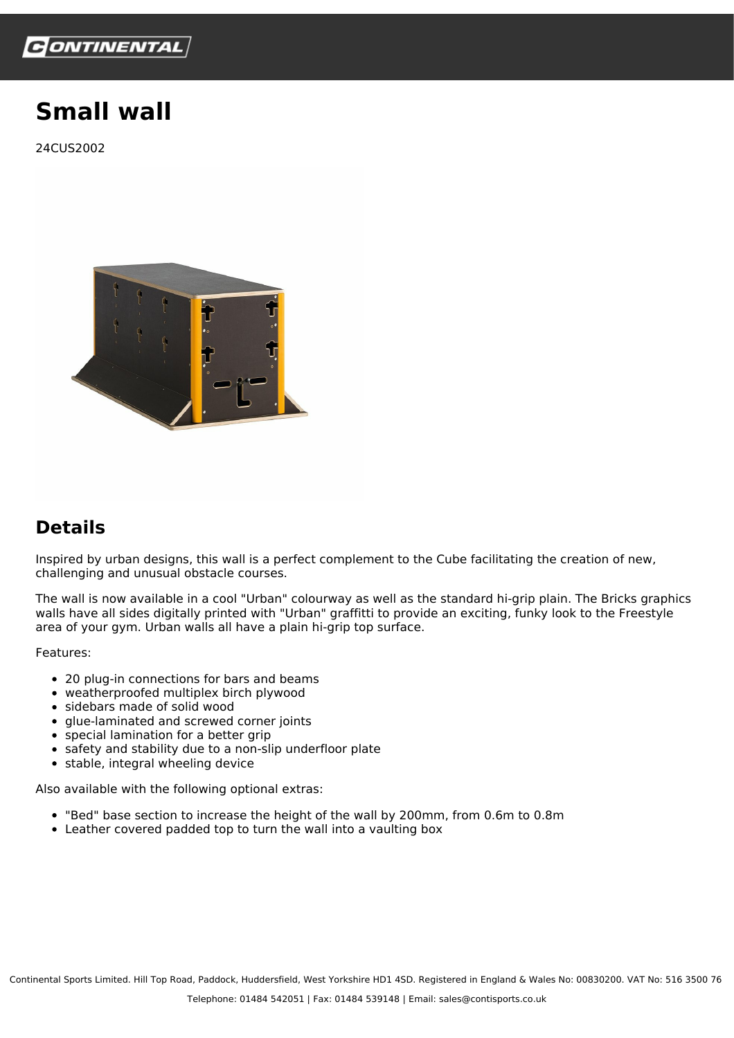

## **Small wall**

24CUS2002



## **Details**

Inspired by urban designs, this wall is a perfect complement to the Cube facilitating the creation of new, challenging and unusual obstacle courses.

The wall is now available in a cool "Urban" colourway as well as the standard hi-grip plain. The Bricks graphics walls have all sides digitally printed with "Urban" graffitti to provide an exciting, funky look to the Freestyle area of your gym. Urban walls all have a plain hi-grip top surface.

Features:

- 20 plug-in connections for bars and beams
- weatherproofed multiplex birch plywood
- sidebars made of solid wood
- glue-laminated and screwed corner joints
- special lamination for a better grip
- safety and stability due to a non-slip underfloor plate
- $\bullet$  stable, integral wheeling device

Also available with the following optional extras:

- "Bed" base section to increase the height of the wall by 200mm, from 0.6m to 0.8m
- Leather covered padded top to turn the wall into a vaulting box